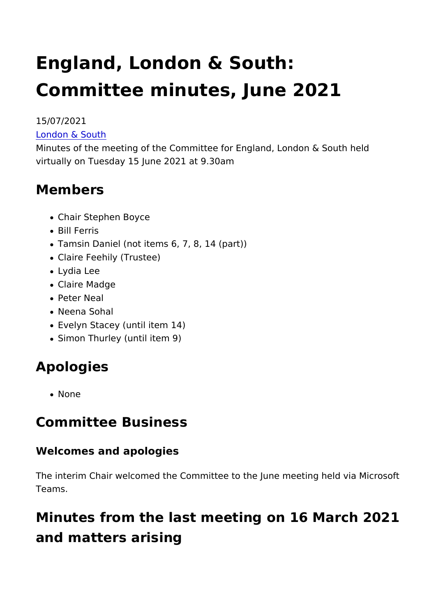# England, London & South: Committee minutes, June 2021

15/07/2021 [London & S](https://www.heritagefund.org.uk/in-your-area/london-south)outh

Minutes of the meeting of the Committee for England, London & virtually on Tuesday 15 June 2021 at 9.30am

#### Members

- Chair Stephen Boyce
- Bill Ferris
- Tamsin Daniel (not items 6, 7, 8, 14 (part))
- Claire Feehily (Trustee)
- Lydia Lee
- Claire Madge
- Peter Neal
- Neena Sohal
- Evelyn Stacey (until item 14)
- Simon Thurley (until item 9)

### Apologies

• None

Committee Business

Welcomes and apologies

The interim Chair welcomed the Committee to the June meeting Teams.

Minutes from the last meeting on 16 March and matters arising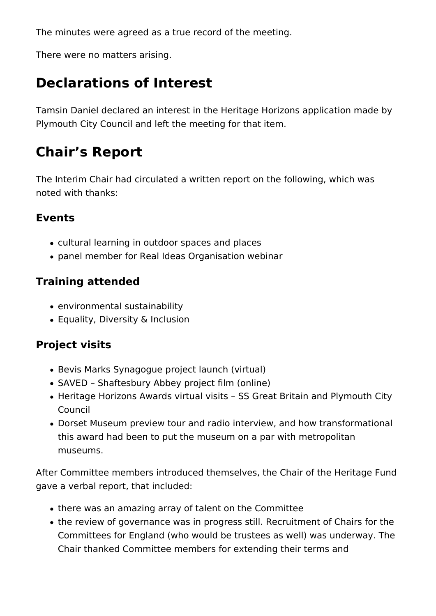The minutes were agreed as a true record of the meeting.

There were no matters arising.

### **Declarations of Interest**

Tamsin Daniel declared an interest in the Heritage Horizons application made by Plymouth City Council and left the meeting for that item.

### **Chair's Report**

The Interim Chair had circulated a written report on the following, which was noted with thanks:

#### **Events**

- cultural learning in outdoor spaces and places
- panel member for Real Ideas Organisation webinar

#### **Training attended**

- environmental sustainability
- Equality, Diversity & Inclusion

#### **Project visits**

- Bevis Marks Synagogue project launch (virtual)
- SAVED Shaftesbury Abbey project film (online)
- Heritage Horizons Awards virtual visits SS Great Britain and Plymouth City Council
- Dorset Museum preview tour and radio interview, and how transformational this award had been to put the museum on a par with metropolitan museums.

After Committee members introduced themselves, the Chair of the Heritage Fund gave a verbal report, that included:

- there was an amazing array of talent on the Committee
- the review of governance was in progress still. Recruitment of Chairs for the Committees for England (who would be trustees as well) was underway. The Chair thanked Committee members for extending their terms and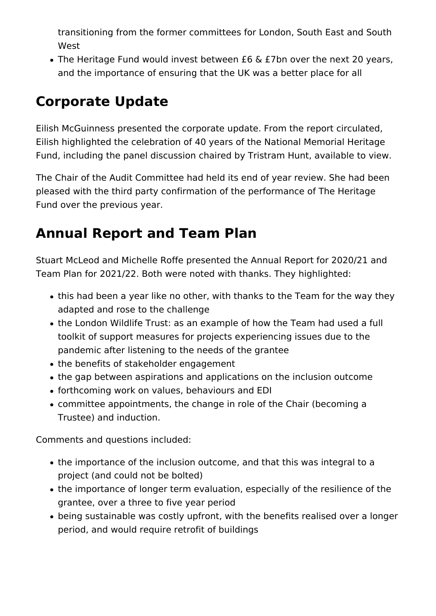transitioning from the former committees for London, South East and South West

The Heritage Fund would invest between £6 & £7bn over the next 20 years, and the importance of ensuring that the UK was a better place for all

# **Corporate Update**

Eilish McGuinness presented the corporate update. From the report circulated, Eilish highlighted the celebration of 40 years of the National Memorial Heritage Fund, including the panel discussion chaired by Tristram Hunt, available to view.

The Chair of the Audit Committee had held its end of year review. She had been pleased with the third party confirmation of the performance of The Heritage Fund over the previous year.

### **Annual Report and Team Plan**

Stuart McLeod and Michelle Roffe presented the Annual Report for 2020/21 and Team Plan for 2021/22. Both were noted with thanks. They highlighted:

- this had been a year like no other, with thanks to the Team for the way they adapted and rose to the challenge
- the London Wildlife Trust: as an example of how the Team had used a full toolkit of support measures for projects experiencing issues due to the pandemic after listening to the needs of the grantee
- the benefits of stakeholder engagement
- the gap between aspirations and applications on the inclusion outcome
- forthcoming work on values, behaviours and EDI
- committee appointments, the change in role of the Chair (becoming a Trustee) and induction.

Comments and questions included:

- the importance of the inclusion outcome, and that this was integral to a project (and could not be bolted)
- the importance of longer term evaluation, especially of the resilience of the grantee, over a three to five year period
- being sustainable was costly upfront, with the benefits realised over a longer period, and would require retrofit of buildings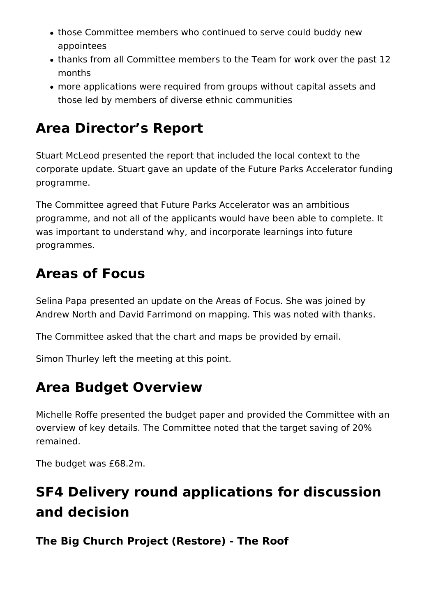- those Committee members who continued to serve could buddy new appointees
- thanks from all Committee members to the Team for work over the past 12 months
- more applications were required from groups without capital assets and those led by members of diverse ethnic communities

### **Area Director's Report**

Stuart McLeod presented the report that included the local context to the corporate update. Stuart gave an update of the Future Parks Accelerator funding programme.

The Committee agreed that Future Parks Accelerator was an ambitious programme, and not all of the applicants would have been able to complete. It was important to understand why, and incorporate learnings into future programmes.

### **Areas of Focus**

Selina Papa presented an update on the Areas of Focus. She was joined by Andrew North and David Farrimond on mapping. This was noted with thanks.

The Committee asked that the chart and maps be provided by email.

Simon Thurley left the meeting at this point.

### **Area Budget Overview**

Michelle Roffe presented the budget paper and provided the Committee with an overview of key details. The Committee noted that the target saving of 20% remained.

The budget was £68.2m.

# **SF4 Delivery round applications for discussion and decision**

#### **The Big Church Project (Restore) - The Roof**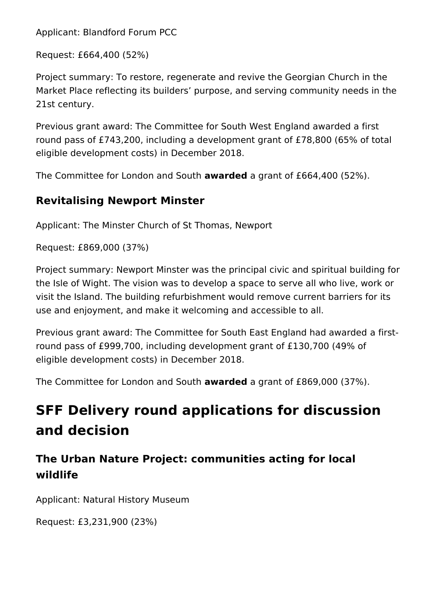Applicant: Blandford Forum PCC

Request: £664,400 (52%)

Project summary: To restore, regenerate and revive the Georgian Church in the Market Place reflecting its builders' purpose, and serving community needs in the 21st century.

Previous grant award: The Committee for South West England awarded a first round pass of £743,200, including a development grant of £78,800 (65% of total eligible development costs) in December 2018.

The Committee for London and South **awarded** a grant of £664,400 (52%).

#### **Revitalising Newport Minster**

Applicant: The Minster Church of St Thomas, Newport

Request: £869,000 (37%)

Project summary: Newport Minster was the principal civic and spiritual building for the Isle of Wight. The vision was to develop a space to serve all who live, work or visit the Island. The building refurbishment would remove current barriers for its use and enjoyment, and make it welcoming and accessible to all.

Previous grant award: The Committee for South East England had awarded a firstround pass of £999,700, including development grant of £130,700 (49% of eligible development costs) in December 2018.

The Committee for London and South **awarded** a grant of £869,000 (37%).

# **SFF Delivery round applications for discussion and decision**

#### **The Urban Nature Project: communities acting for local wildlife**

Applicant: Natural History Museum

Request: £3,231,900 (23%)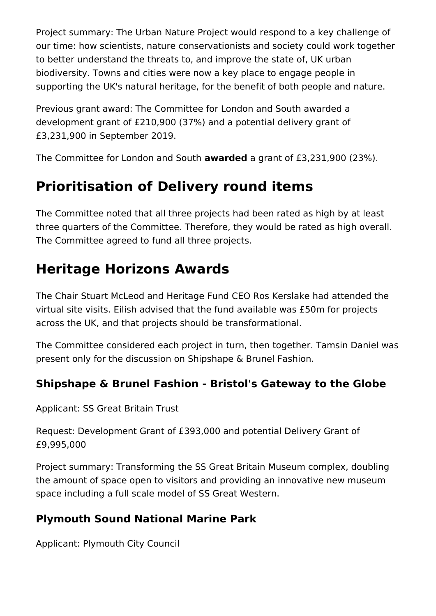Project summary: The Urban Nature Project would respond to a key challenge of our time: how scientists, nature conservationists and society could work together to better understand the threats to, and improve the state of, UK urban biodiversity. Towns and cities were now a key place to engage people in supporting the UK's natural heritage, for the benefit of both people and nature.

Previous grant award: The Committee for London and South awarded a development grant of £210,900 (37%) and a potential delivery grant of £3,231,900 in September 2019.

The Committee for London and South **awarded** a grant of £3,231,900 (23%).

### **Prioritisation of Delivery round items**

The Committee noted that all three projects had been rated as high by at least three quarters of the Committee. Therefore, they would be rated as high overall. The Committee agreed to fund all three projects.

# **Heritage Horizons Awards**

The Chair Stuart McLeod and Heritage Fund CEO Ros Kerslake had attended the virtual site visits. Eilish advised that the fund available was £50m for projects across the UK, and that projects should be transformational.

The Committee considered each project in turn, then together. Tamsin Daniel was present only for the discussion on Shipshape & Brunel Fashion.

#### **Shipshape & Brunel Fashion - Bristol's Gateway to the Globe**

Applicant: SS Great Britain Trust

Request: Development Grant of £393,000 and potential Delivery Grant of £9,995,000

Project summary: Transforming the SS Great Britain Museum complex, doubling the amount of space open to visitors and providing an innovative new museum space including a full scale model of SS Great Western.

#### **Plymouth Sound National Marine Park**

Applicant: Plymouth City Council